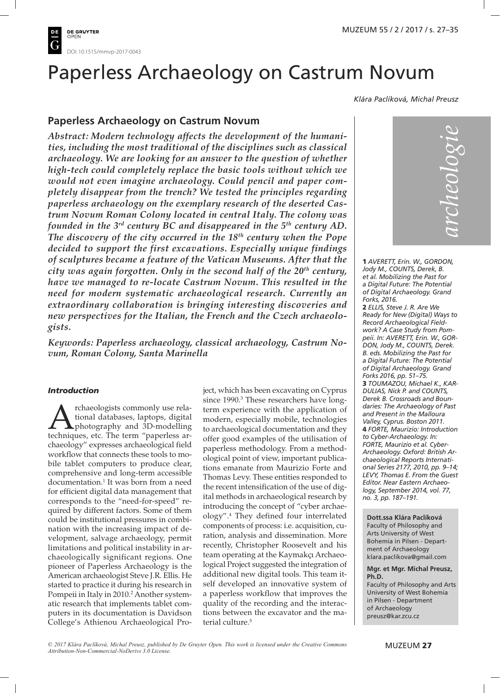

# Paperless Archaeology on Castrum Novum

*Klára Paclíková, Michal Preusz*

## **Paperless Archaeology on Castrum Novum**

*Abstract: Modern technology affects the development of the humanities, including the most traditional of the disciplines such as classical archaeology. We are looking for an answer to the question of whether high-tech could completely replace the basic tools without which we would not even imagine archaeology. Could pencil and paper completely disappear from the trench? We tested the principles regarding paperless archaeology on the exemplary research of the deserted Castrum Novum Roman Colony located in central Italy. The colony was founded in the 3rd century BC and disappeared in the 5th century AD. The discovery of the city occurred in the 18th century when the Pope decided to support the first excavations. Especially unique findings of sculptures became a feature of the Vatican Museums. After that the city was again forgotten. Only in the second half of the 20th century, have we managed to re-locate Castrum Novum. This resulted in the need for modern systematic archaeological research. Currently an extraordinary collaboration is bringing interesting discoveries and new perspectives for the Italian, the French and the Czech archaeologists.*

*Keywords: Paperless archaeology, classical archaeology, Castrum Novum, Roman Colony, Santa Marinella*

## *Introduction*

**A** rchaeologists commonly use rela-<br>tional databases, laptops, digital<br>techniques, etc. The term "paperless artional databases, laptops, digital photography and 3D-modelling chaeology" expresses archaeological field workflow that connects these tools to mobile tablet computers to produce clear, comprehensive and long-term accessible documentation. <sup>1</sup> It was born from a need for efficient digital data management that corresponds to the "need-for-speed" required by different factors. Some of them could be institutional pressures in combination with the increasing impact of development, salvage archaeology, permit limitations and political instability in archaeologically significant regions. One pioneer of Paperless Archaeology is the American archaeologist Steve J.R. Ellis. He started to practice it during his research in Pompeii in Italy in 2010. <sup>2</sup> Another systematic research that implements tablet computers in its documentation is Davidson College's Athienou Archaeological Project, which has been excavating on Cyprus since 1990. <sup>3</sup> These researchers have longterm experience with the application of modern, especially mobile, technologies to archaeological documentation and they offer good examples of the utilisation of paperless methodology. From a methodological point of view, important publications emanate from Maurizio Forte and Thomas Levy. These entities responded to the recent intensification of the use of digital methods in archaeological research by introducing the concept of "cyber archaeology". <sup>4</sup> They defined four interrelated components of process: i.e. acquisition, curation, analysis and dissemination. More recently, Christopher Roosevelt and his team operating at the Kaymakçı Archaeological Project suggested the integration of additional new digital tools. This team itself developed an innovative system of a paperless workflow that improves the quality of the recording and the interactions between the excavator and the material culture. 5



**1** *AVERETT, Erin. W., GORDON, Jody M., COUNTS, Derek, B. et al. Mobilizing the Past for a Digital Future: The Potential of Digital Archaeology. Grand Forks, 2016.* **2** *ELLIS, Steve J. R. Are We Ready for New (Digital) Ways to Record Archaeological Fieldwork? A Case Study from Pompeii. In: AVERETT, Erin. W., GOR-DON, Jody M., COUNTS, Derek. B. eds. Mobilizing the Past for a Digital Future: The Potential of Digital Archaeology. Grand Forks 2016, pp. 51–75.* **3** *TOUMAZOU, Michael K., KAR-DULIAS, Nick P. and COUNTS, Derek B. Crossroads and Boundaries: The Archaeology of Past and Present in the Malloura Valley, Cyprus. Boston 2011.* **4** *FORTE, Maurizio: Introduction to Cyber-Archaeology. In: FORTE, Maurizio et al. Cyber-Archaeology. Oxford: British Archaeological Reports International Series 2177, 2010, pp. 9–14; LEVY, Thomas E. From the Guest Editor. Near Eastern Archaeology, September 2014, vol. 77, no. 3, pp. 187–191.*

**Dott.ssa Klára Paclíková** Faculty of Philosophy and Arts University of West Bohemia in Pilsen - Department of Archaeology klara.paclikova@gmail.com

#### **Mgr. et Mgr. Michal Preusz, Ph.D.**

Faculty of Philosophy and Arts University of West Bohemia in Pilsen - Department of Archaeology preusz@kar.zcu.cz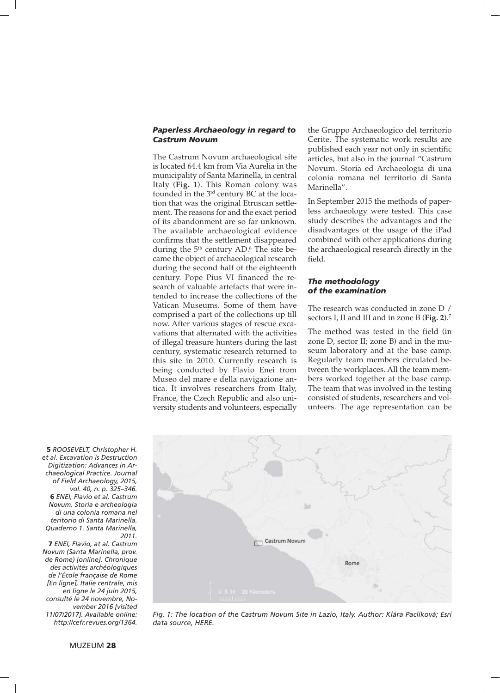#### *Paperless Archaeology in regard to Castrum Novum*

The Castrum Novum archaeological site is located 64.4 km from Via Aurelia in the municipality of Santa Marinella, in central Italy (**Fig. 1**). This Roman colony was founded in the  $3<sup>rd</sup>$  century BC at the location that was the original Etruscan settlement. The reasons for and the exact period of its abandonment are so far unknown. The available archaeological evidence confirms that the settlement disappeared during the  $5<sup>th</sup>$  century AD. $<sup>6</sup>$  The site be-</sup> came the object of archaeological research during the second half of the eighteenth century. Pope Pius VI financed the research of valuable artefacts that were intended to increase the collections of the Vatican Museums. Some of them have comprised a part of the collections up till now. After various stages of rescue excavations that alternated with the activities of illegal treasure hunters during the last century, systematic research returned to this site in 2010. Currently research is being conducted by Flavio Enei from Museo del mare e della navigazione antica. It involves researchers from Italy, France, the Czech Republic and also university students and volunteers, especially

the Gruppo Archaeologico del territorio Cerite. The systematic work results are published each year not only in scientific articles, but also in the journal "Castrum Novum. Storia ed Archaeologia di una colonia romana nel territorio di Santa Marinella".

In September 2015 the methods of paperless archaeology were tested. This case study describes the advantages and the disadvantages of the usage of the iPad combined with other applications during the archaeological research directly in the field.

#### *The methodology of the examination*

The research was conducted in zone D / sectors I, II and III and in zone B (**Fig. 2**). 7

The method was tested in the field (in zone D, sector II; zone B) and in the museum laboratory and at the base camp. Regularly team members circulated between the workplaces. All the team members worked together at the base camp. The team that was involved in the testing consisted of students, researchers and volunteers. The age representation can be



*Fig. 1: The location of the Castrum Novum Site in Lazio, Italy. Author: Klára Paclíková; Esri data source, HERE.*

**5** *ROOSEVELT, Christopher H. et al. Excavation is Destruction Digitization: Advances in Archaeological Practice. Journal of Field Archaeology, 2015, vol. 40, n. p. 325–346.* **6** *ENEI, Flavio et al. Castrum Novum. Storia e archeologia di una colonia romana nel teritorio di Santa Marinella. Quaderno 1. Santa Marinella, 2011.*

**7** *ENEI, Flavio, at al. Castrum Novum (Santa Marinella, prov. de Rome) [online]. Chronique des activités archéologiques de l'École française de Rome [En ligne], Italie centrale, mis en ligne le 24 juin 2015, consulté le 24 novembre, November 2016 [visited 11/07/2017]. Available online: [http://cefr.revues.org/1364.](http://cefr.revues.org/1364)*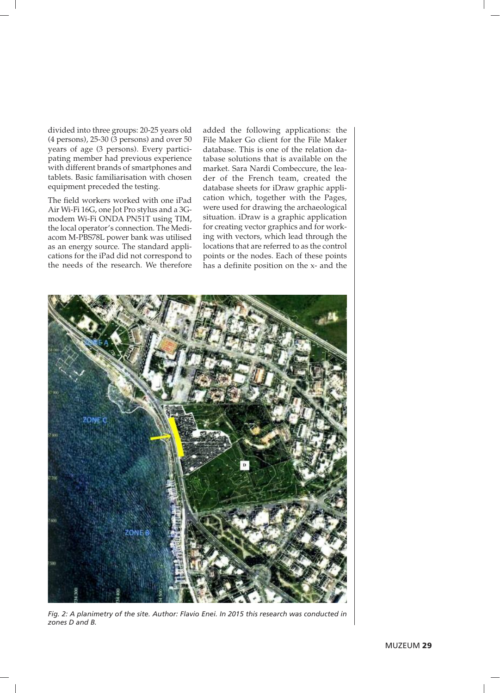divided into three groups: 20-25 years old (4 persons), 25-30 (3 persons) and over 50 years of age (3 persons). Every participating member had previous experience with different brands of smartphones and tablets. Basic familiarisation with chosen equipment preceded the testing.

The field workers worked with one iPad Air Wi-Fi 16G, one Jot Pro stylus and a 3Gmodem Wi-Fi ONDA PN51T using TIM, the local operator's connection. The Mediacom M-PBS78L power bank was utilised as an energy source. The standard applications for the iPad did not correspond to the needs of the research. We therefore added the following applications: the File Maker Go client for the File Maker database. This is one of the relation database solutions that is available on the market. Sara Nardi Combeccure, the leader of the French team, created the database sheets for iDraw graphic application which, together with the Pages, were used for drawing the archaeological situation. iDraw is a graphic application for creating vector graphics and for working with vectors, which lead through the locations that are referred to as the control points or the nodes. Each of these points has a definite position on the x- and the



*Fig. 2: A planimetry of the site. Author: Flavio Enei. In 2015 this research was conducted in zones D and B.*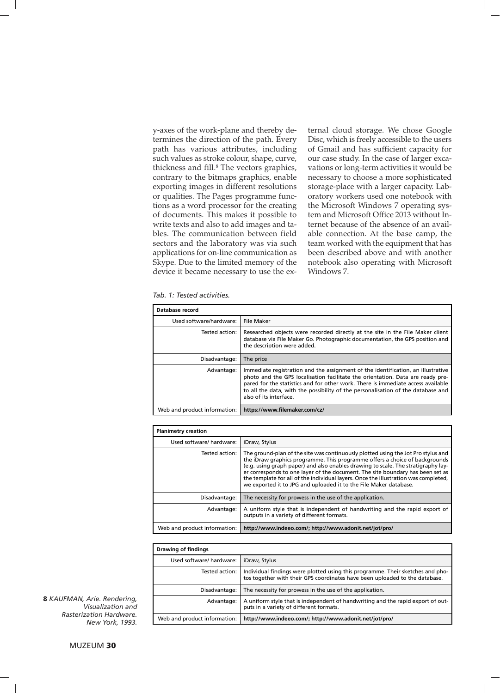y-axes of the work-plane and thereby determines the direction of the path. Every path has various attributes, including such values as stroke colour, shape, curve, thickness and fill. <sup>8</sup> The vectors graphics, contrary to the bitmaps graphics, enable exporting images in different resolutions or qualities. The Pages programme functions as a word processor for the creating of documents. This makes it possible to write texts and also to add images and tables. The communication between field sectors and the laboratory was via such applications for on-line communication as Skype. Due to the limited memory of the device it became necessary to use the external cloud storage. We chose Google Disc, which is freely accessible to the users of Gmail and has sufficient capacity for our case study. In the case of larger excavations or long-term activities it would be necessary to choose a more sophisticated storage-place with a larger capacity. Laboratory workers used one notebook with the Microsoft Windows 7 operating system and Microsoft Office 2013 without Internet because of the absence of an available connection. At the base camp, the team worked with the equipment that has been described above and with another notebook also operating with Microsoft Windows 7.

#### *Tab. 1: Tested activities.*

| Database record              |                                                                                                                                                                                                                                                                                                                                                                      |
|------------------------------|----------------------------------------------------------------------------------------------------------------------------------------------------------------------------------------------------------------------------------------------------------------------------------------------------------------------------------------------------------------------|
| Used software/hardware:      | File Maker                                                                                                                                                                                                                                                                                                                                                           |
| Tested action:               | Researched objects were recorded directly at the site in the File Maker client<br>database via File Maker Go. Photographic documentation, the GPS position and<br>the description were added.                                                                                                                                                                        |
| Disadvantage:                | The price                                                                                                                                                                                                                                                                                                                                                            |
| Advantage:                   | Immediate registration and the assignment of the identification, an illustrative<br>photo and the GPS localisation facilitate the orientation. Data are ready pre-<br>pared for the statistics and for other work. There is immediate access available<br>to all the data, with the possibility of the personalisation of the database and<br>also of its interface. |
| Web and product information: | https://www.filemaker.com/cz/                                                                                                                                                                                                                                                                                                                                        |

| <b>Planimetry creation</b>   |                                                                                                                                                                                                                                                                                                                                                                                                                                                                                                     |
|------------------------------|-----------------------------------------------------------------------------------------------------------------------------------------------------------------------------------------------------------------------------------------------------------------------------------------------------------------------------------------------------------------------------------------------------------------------------------------------------------------------------------------------------|
| Used software/ hardware:     | iDraw, Stylus                                                                                                                                                                                                                                                                                                                                                                                                                                                                                       |
| Tested action:               | The ground-plan of the site was continuously plotted using the Jot Pro stylus and<br>the iDraw graphics programme. This programme offers a choice of backgrounds<br>(e.g. using graph paper) and also enables drawing to scale. The stratigraphy lay-<br>er corresponds to one layer of the document. The site boundary has been set as<br>the template for all of the individual layers. Once the illustration was completed,<br>we exported it to JPG and uploaded it to the File Maker database. |
| Disadvantage:                | The necessity for prowess in the use of the application.                                                                                                                                                                                                                                                                                                                                                                                                                                            |
| Advantage:                   | A uniform style that is independent of handwriting and the rapid export of<br>outputs in a variety of different formats.                                                                                                                                                                                                                                                                                                                                                                            |
| Web and product information: | http://www.indeeo.com/; http://www.adonit.net/jot/pro/                                                                                                                                                                                                                                                                                                                                                                                                                                              |

| Drawing of findings          |                                                                                                                                                               |
|------------------------------|---------------------------------------------------------------------------------------------------------------------------------------------------------------|
| Used software/ hardware:     | iDraw, Stylus                                                                                                                                                 |
| Tested action:               | Individual findings were plotted using this programme. Their sketches and pho-<br>tos together with their GPS coordinates have been uploaded to the database. |
| Disadvantage:                | The necessity for prowess in the use of the application.                                                                                                      |
| Advantage:                   | A uniform style that is independent of handwriting and the rapid export of out-<br>puts in a variety of different formats.                                    |
| Web and product information: | http://www.indeeo.com/; http://www.adonit.net/jot/pro/                                                                                                        |

**8** *KAUFMAN, Arie. Rendering, Visualization and Rasterization Hardware. New York, 1993.*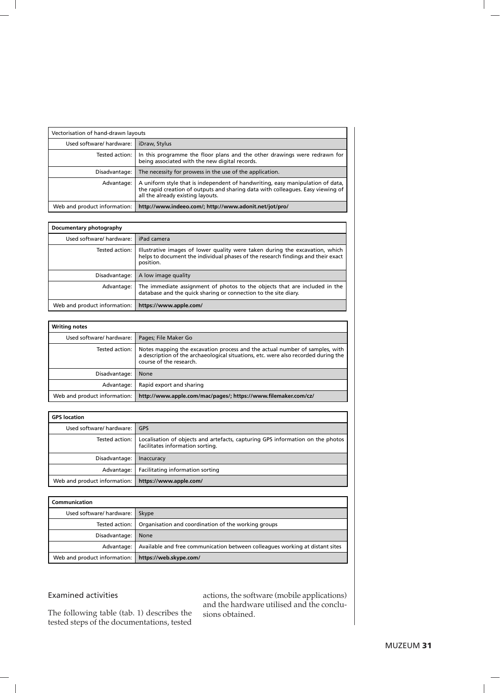| Vectorisation of hand-drawn layouts |                                                                                                                                                                                                        |
|-------------------------------------|--------------------------------------------------------------------------------------------------------------------------------------------------------------------------------------------------------|
| Used software/ hardware:            | iDraw, Stylus                                                                                                                                                                                          |
| Tested action:                      | In this programme the floor plans and the other drawings were redrawn for<br>being associated with the new digital records.                                                                            |
| Disadvantage:                       | The necessity for prowess in the use of the application.                                                                                                                                               |
| Advantage:                          | A uniform style that is independent of handwriting, easy manipulation of data,<br>the rapid creation of outputs and sharing data with colleagues. Easy viewing of<br>all the already existing layouts. |
| Web and product information:        | http://www.indeeo.com/; http://www.adonit.net/jot/pro/                                                                                                                                                 |

| Documentary photography      |                                                                                                                                                                               |
|------------------------------|-------------------------------------------------------------------------------------------------------------------------------------------------------------------------------|
| Used software/ hardware:     | iPad camera                                                                                                                                                                   |
| Tested action:               | Illustrative images of lower quality were taken during the excavation, which<br>helps to document the individual phases of the research findings and their exact<br>position. |
| Disadvantage:                | A low image quality                                                                                                                                                           |
| Advantage:                   | The immediate assignment of photos to the objects that are included in the<br>database and the quick sharing or connection to the site diary.                                 |
| Web and product information: | https://www.apple.com/                                                                                                                                                        |

| <b>Writing notes</b>         |                                                                                                                                                                                              |
|------------------------------|----------------------------------------------------------------------------------------------------------------------------------------------------------------------------------------------|
| Used software/ hardware:     | Pages; File Maker Go                                                                                                                                                                         |
| Tested action: I             | Notes mapping the excavation process and the actual number of samples, with<br>a description of the archaeological situations, etc. were also recorded during the<br>course of the research. |
| Disadvantage:                | None                                                                                                                                                                                         |
| Advantage:                   | Rapid export and sharing                                                                                                                                                                     |
| Web and product information: | http://www.apple.com/mac/pages/; https://www.filemaker.com/cz/                                                                                                                               |

| <b>GPS</b> location          |                                                                                                                                     |
|------------------------------|-------------------------------------------------------------------------------------------------------------------------------------|
| Used software/ hardware:     | <b>GPS</b>                                                                                                                          |
|                              | Tested action:   Localisation of objects and artefacts, capturing GPS information on the photos<br>facilitates information sorting. |
| Disadvantage:                | <b>Inaccuracy</b>                                                                                                                   |
| Advantage:                   | Facilitating information sorting                                                                                                    |
| Web and product information: | https://www.apple.com/                                                                                                              |

| Communication                                         |                                                                              |
|-------------------------------------------------------|------------------------------------------------------------------------------|
| Used software/ hardware:                              | Skype                                                                        |
|                                                       | Tested action:   Organisation and coordination of the working groups         |
| Disadvantage:                                         | <b>None</b>                                                                  |
| Advantage:                                            | Available and free communication between colleagues working at distant sites |
| Web and product information:   https://web.skype.com/ |                                                                              |

## Examined activities

The following table (tab. 1) describes the tested steps of the documentations, tested actions, the software (mobile applications) and the hardware utilised and the conclusions obtained.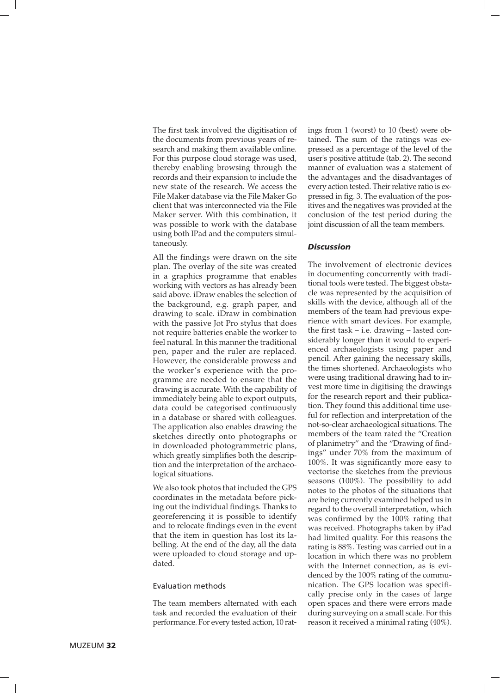The first task involved the digitisation of the documents from previous years of research and making them available online. For this purpose cloud storage was used, thereby enabling browsing through the records and their expansion to include the new state of the research. We access the File Maker database via the File Maker Go client that was interconnected via the File Maker server. With this combination, it was possible to work with the database using both IPad and the computers simultaneously.

All the findings were drawn on the site plan. The overlay of the site was created in a graphics programme that enables working with vectors as has already been said above. iDraw enables the selection of the background, e.g. graph paper, and drawing to scale. iDraw in combination with the passive Jot Pro stylus that does not require batteries enable the worker to feel natural. In this manner the traditional pen, paper and the ruler are replaced. However, the considerable prowess and the worker's experience with the programme are needed to ensure that the drawing is accurate. With the capability of immediately being able to export outputs, data could be categorised continuously in a database or shared with colleagues. The application also enables drawing the sketches directly onto photographs or in downloaded photogrammetric plans, which greatly simplifies both the description and the interpretation of the archaeological situations.

We also took photos that included the GPS coordinates in the metadata before picking out the individual findings. Thanks to georeferencing it is possible to identify and to relocate findings even in the event that the item in question has lost its labelling. At the end of the day, all the data were uploaded to cloud storage and updated.

#### Evaluation methods

The team members alternated with each task and recorded the evaluation of their performance. For every tested action, 10 ratings from 1 (worst) to 10 (best) were obtained. The sum of the ratings was expressed as a percentage of the level of the user's positive attitude (tab. 2). The second manner of evaluation was a statement of the advantages and the disadvantages of every action tested. Their relative ratio is expressed in fig. 3. The evaluation of the positives and the negatives was provided at the conclusion of the test period during the joint discussion of all the team members.

#### *Discussion*

The involvement of electronic devices in documenting concurrently with traditional tools were tested. The biggest obstacle was represented by the acquisition of skills with the device, although all of the members of the team had previous experience with smart devices. For example, the first task – i.e. drawing – lasted considerably longer than it would to experienced archaeologists using paper and pencil. After gaining the necessary skills, the times shortened. Archaeologists who were using traditional drawing had to invest more time in digitising the drawings for the research report and their publication. They found this additional time useful for reflection and interpretation of the not-so-clear archaeological situations. The members of the team rated the "Creation of planimetry" and the "Drawing of findings" under 70% from the maximum of 100%. It was significantly more easy to vectorise the sketches from the previous seasons (100%). The possibility to add notes to the photos of the situations that are being currently examined helped us in regard to the overall interpretation, which was confirmed by the 100% rating that was received. Photographs taken by iPad had limited quality. For this reasons the rating is 88%. Testing was carried out in a location in which there was no problem with the Internet connection, as is evidenced by the 100% rating of the communication. The GPS location was specifically precise only in the cases of large open spaces and there were errors made during surveying on a small scale. For this reason it received a minimal rating (40%).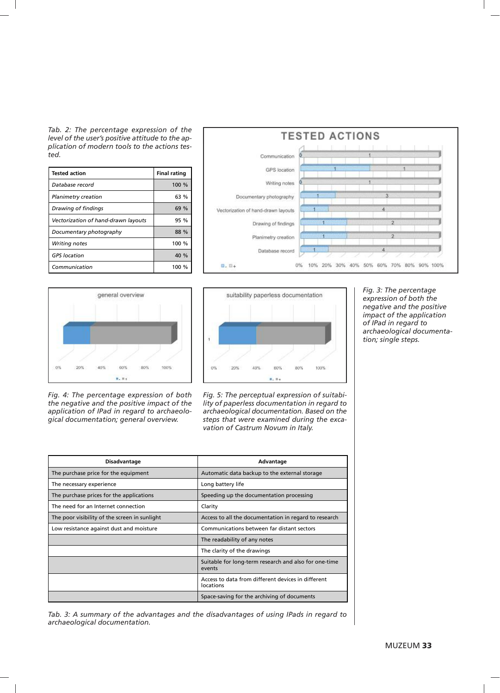*Tab. 2: The percentage expression of the level of the user's positive attitude to the application of modern tools to the actions tested.*

| <b>Tested action</b>                | <b>Final rating</b> |
|-------------------------------------|---------------------|
| Database record                     | $100 \%$            |
| Planimetry creation                 | 63%                 |
| Drawing of findings                 | 69%                 |
| Vectorization of hand-drawn layouts | 95 %                |
| Documentary photography             | 88 %                |
| Writing notes                       | 100 %               |
| <b>GPS</b> location                 | 40 %                |
| Communication                       | 100 $%$             |



*Fig. 4: The percentage expression of both the negative and the positive impact of the application of IPad in regard to archaeological documentation; general overview.*





*Fig. 5: The perceptual expression of suitability of paperless documentation in regard to archaeological documentation. Based on the steps that were examined during the excavation of Castrum Novum in Italy.*

**Disadvantage Advantage Advantage** The purchase price for the equipment  $\vert$  Automatic data backup to the external storage The necessary experience Long battery life The purchase prices for the applications  $\vert$  Speeding up the documentation processing The need for an Internet connection The need for an Internet connection The poor visibility of the screen in sunlight  $\vert$  Access to all the documentation in regard to research Low resistance against dust and moisture **Communications between far distant sectors** The readability of any notes The clarity of the drawings Suitable for long-term research and also for one-time events Access to data from different devices in different locations Space-saving for the archiving of documents

*Tab. 3: A summary of the advantages and the disadvantages of using IPads in regard to archaeological documentation.*

*Fig. 3: The percentage expression of both the negative and the positive impact of the application of IPad in regard to archaeological documentation; single steps.*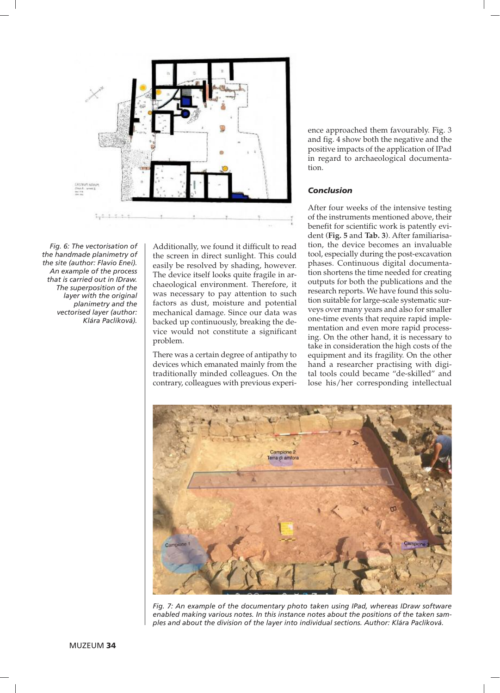

*Fig. 6: The vectorisation of the handmade planimetry of the site (author: Flavio Enei). An example of the process that is carried out in IDraw. The superposition of the layer with the original planimetry and the vectorised layer (author: Klára Paclíková).*

Additionally, we found it difficult to read the screen in direct sunlight. This could easily be resolved by shading, however. The device itself looks quite fragile in archaeological environment. Therefore, it was necessary to pay attention to such factors as dust, moisture and potential mechanical damage. Since our data was backed up continuously, breaking the device would not constitute a significant problem.

There was a certain degree of antipathy to devices which emanated mainly from the traditionally minded colleagues. On the contrary, colleagues with previous experience approached them favourably. Fig. 3 and fig. 4 show both the negative and the positive impacts of the application of IPad in regard to archaeological documentation.

## *Conclusion*

After four weeks of the intensive testing of the instruments mentioned above, their benefit for scientific work is patently evident (**Fig. 5** and **Tab. 3**). After familiarisation, the device becomes an invaluable tool, especially during the post-excavation phases. Continuous digital documentation shortens the time needed for creating outputs for both the publications and the research reports. We have found this solution suitable for large-scale systematic surveys over many years and also for smaller one-time events that require rapid implementation and even more rapid processing. On the other hand, it is necessary to take in consideration the high costs of the equipment and its fragility. On the other hand a researcher practising with digital tools could became "de-skilled" and lose his/her corresponding intellectual



*Fig. 7: An example of the documentary photo taken using IPad, whereas IDraw software enabled making various notes. In this instance notes about the positions of the taken samples and about the division of the layer into individual sections. Author: Klára Paclíková.*